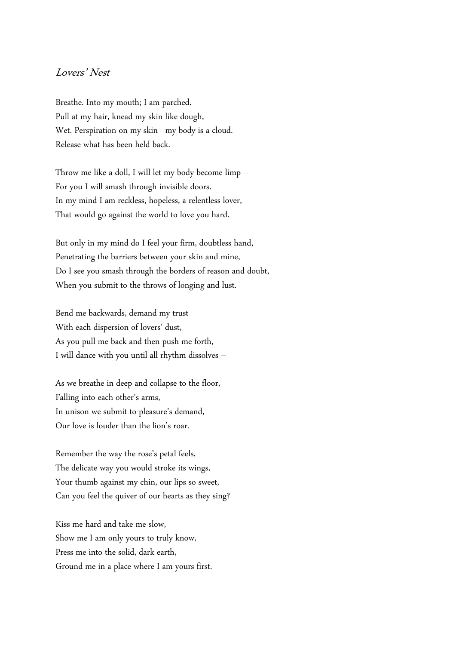## Lovers' Nest

Breathe. Into my mouth; I am parched. Pull at my hair, knead my skin like dough, Wet. Perspiration on my skin - my body is a cloud. Release what has been held back.

Throw me like a doll, I will let my body become limp – For you I will smash through invisible doors. In my mind I am reckless, hopeless, a relentless lover, That would go against the world to love you hard.

But only in my mind do I feel your firm, doubtless hand, Penetrating the barriers between your skin and mine, Do I see you smash through the borders of reason and doubt, When you submit to the throws of longing and lust.

Bend me backwards, demand my trust With each dispersion of lovers' dust, As you pull me back and then push me forth, I will dance with you until all rhythm dissolves –

As we breathe in deep and collapse to the floor, Falling into each other's arms, In unison we submit to pleasure's demand, Our love is louder than the lion's roar.

Remember the way the rose's petal feels, The delicate way you would stroke its wings, Your thumb against my chin, our lips so sweet, Can you feel the quiver of our hearts as they sing?

Kiss me hard and take me slow, Show me I am only yours to truly know, Press me into the solid, dark earth, Ground me in a place where I am yours first.